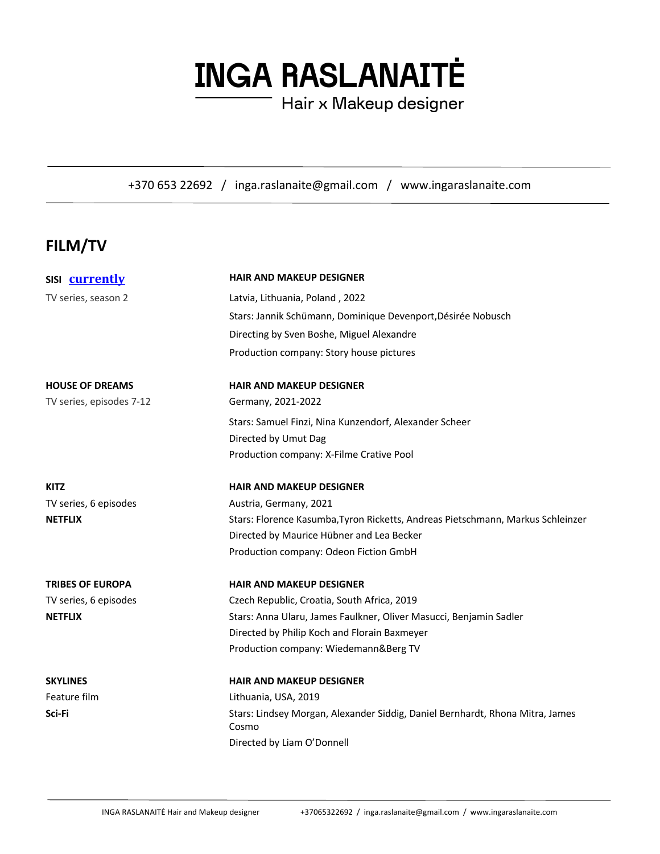# **INGA RASLANAITĖ**

Hair x Makeup designer

+370 653 22692 / inga.raslanaite@gmail.com / www.ingaraslanaite.com

## **FILM/TV**

| SISI currently           | <b>HAIR AND MAKEUP DESIGNER</b>                                                        |  |
|--------------------------|----------------------------------------------------------------------------------------|--|
| TV series, season 2      | Latvia, Lithuania, Poland, 2022                                                        |  |
|                          | Stars: Jannik Schümann, Dominique Devenport, Désirée Nobusch                           |  |
|                          | Directing by Sven Boshe, Miguel Alexandre                                              |  |
|                          | Production company: Story house pictures                                               |  |
| <b>HOUSE OF DREAMS</b>   | <b>HAIR AND MAKEUP DESIGNER</b>                                                        |  |
| TV series, episodes 7-12 | Germany, 2021-2022                                                                     |  |
|                          | Stars: Samuel Finzi, Nina Kunzendorf, Alexander Scheer                                 |  |
|                          | Directed by Umut Dag                                                                   |  |
|                          | Production company: X-Filme Crative Pool                                               |  |
| <b>KITZ</b>              | <b>HAIR AND MAKEUP DESIGNER</b>                                                        |  |
| TV series, 6 episodes    | Austria, Germany, 2021                                                                 |  |
| <b>NETFLIX</b>           | Stars: Florence Kasumba, Tyron Ricketts, Andreas Pietschmann, Markus Schleinzer        |  |
|                          | Directed by Maurice Hübner and Lea Becker                                              |  |
|                          | Production company: Odeon Fiction GmbH                                                 |  |
| <b>TRIBES OF EUROPA</b>  | <b>HAIR AND MAKEUP DESIGNER</b>                                                        |  |
| TV series, 6 episodes    | Czech Republic, Croatia, South Africa, 2019                                            |  |
| <b>NETFLIX</b>           | Stars: Anna Ularu, James Faulkner, Oliver Masucci, Benjamin Sadler                     |  |
|                          | Directed by Philip Koch and Florain Baxmeyer                                           |  |
|                          | Production company: Wiedemann&Berg TV                                                  |  |
| <b>SKYLINES</b>          | <b>HAIR AND MAKEUP DESIGNER</b>                                                        |  |
| Feature film             | Lithuania, USA, 2019                                                                   |  |
| Sci-Fi                   | Stars: Lindsey Morgan, Alexander Siddig, Daniel Bernhardt, Rhona Mitra, James<br>Cosmo |  |
|                          | Directed by Liam O'Donnell                                                             |  |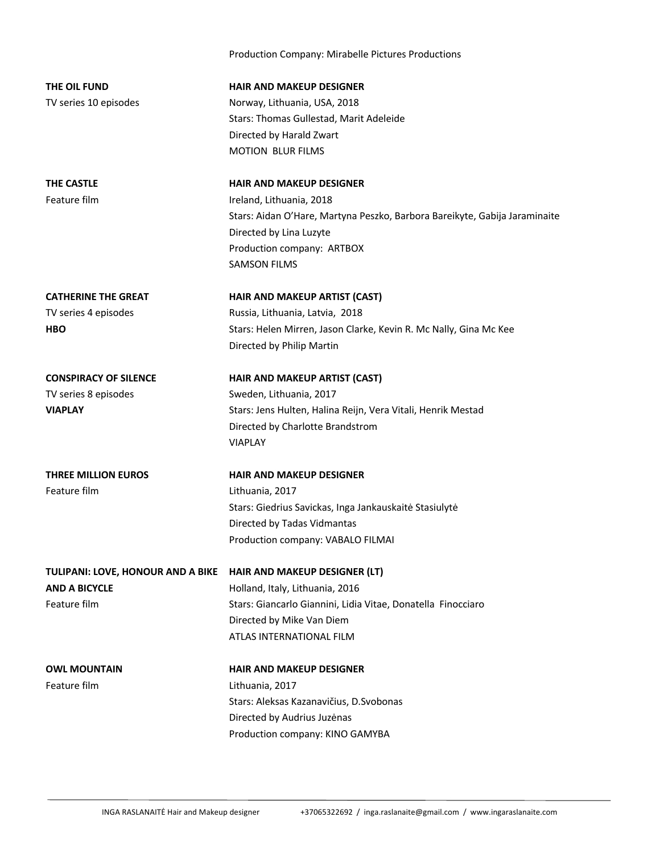Production Company: Mirabelle Pictures Productions **THE OIL FUND HAIR AND MAKEUP DESIGNER** TV series 10 episodes Norway, Lithuania, USA, 2018 Stars: Thomas Gullestad, Marit Adeleide Directed by Harald Zwart MOTION BLUR FILMS **THE CASTLE HAIR AND MAKEUP DESIGNER** Feature film **Ireland**, Lithuania, 2018 Stars: Aidan O'Hare, Martyna Peszko, Barbora Bareikyte, Gabija Jaraminaite Directed by Lina Luzyte Production company: ARTBOX SAMSON FILMS **CATHERINE THE GREAT HAIR AND MAKEUP ARTIST (CAST)** TV series 4 episodes Russia, Lithuania, Latvia, 2018 **HBO** Stars: Helen Mirren, Jason Clarke, Kevin R. Mc Nally, Gina Mc Kee Directed by Philip Martin **CONSPIRACY OF SILENCE HAIR AND MAKEUP ARTIST (CAST)** TV series 8 episodes Sweden, Lithuania, 2017 **VIAPLAY** Stars: Jens Hulten, Halina Reijn, Vera Vitali, Henrik Mestad Directed by Charlotte Brandstrom VIAPLAY **THREE MILLION EUROS HAIR AND MAKEUP DESIGNER** Feature film Lithuania, 2017 Stars: Giedrius Savickas, Inga Jankauskaitė Stasiulytė Directed by Tadas Vidmantas Production company: VABALO FILMAI **TULIPANI: LOVE, HONOUR AND A BIKE HAIR AND MAKEUP DESIGNER (LT) AND A BICYCLE AND A BICYCLE Holland, Italy, Lithuania, 2016** Feature film Stars: Giancarlo Giannini, Lidia Vitae, Donatella Finocciaro Directed by Mike Van Diem ATLAS INTERNATIONAL FILM **OWL MOUNTAIN HAIR AND MAKEUP DESIGNER** Feature film Lithuania, 2017 Stars: Aleksas Kazanavičius, D.Svobonas Directed by Audrius Juzėnas Production company: KINO GAMYBA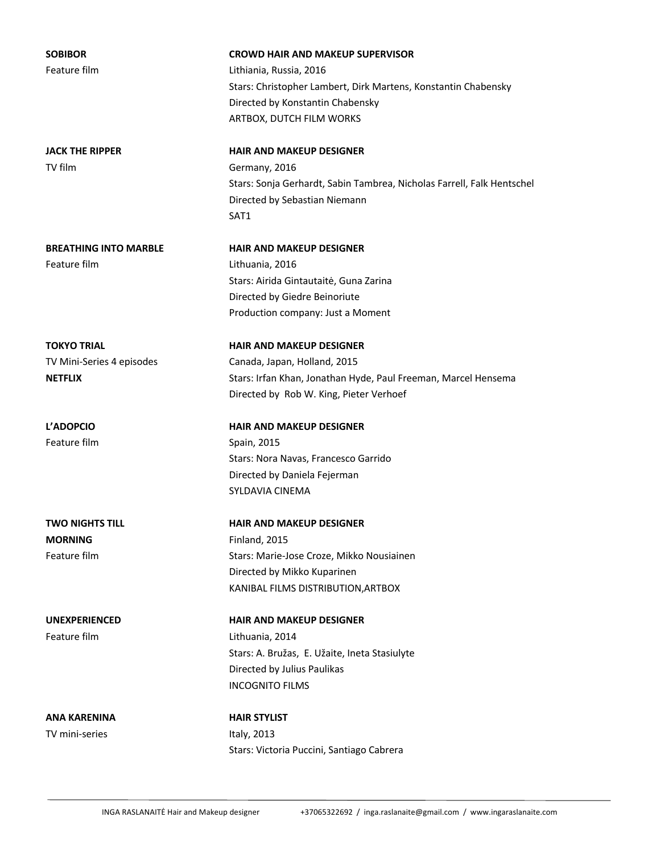**SOBIBOR CROWD HAIR AND MAKEUP SUPERVISOR** Feature film Lithiania, Russia, 2016 Stars: Christopher Lambert, Dirk Martens, Konstantin Chabensky Directed by Konstantin Chabensky ARTBOX, DUTCH FILM WORKS **JACK THE RIPPER HAIR AND MAKEUP DESIGNER** TV film Germany, 2016 Stars: Sonja Gerhardt, Sabin Tambrea, Nicholas Farrell, Falk Hentschel Directed by Sebastian Niemann SAT1 **BREATHING INTO MARBLE HAIR AND MAKEUP DESIGNER** Feature film Lithuania, 2016 Stars: Airida Gintautaitė, Guna Zarina Directed by Giedre Beinoriute Production company: Just a Moment **TOKYO TRIAL HAIR AND MAKEUP DESIGNER** TV Mini-Series 4 episodes Canada, Japan, Holland, 2015 **NETFLIX** Stars: Irfan Khan, Jonathan Hyde, Paul Freeman, Marcel Hensema Directed by Rob W. King, Pieter Verhoef **L'ADOPCIO HAIR AND MAKEUP DESIGNER** Feature film Spain, 2015 Stars: Nora Navas, Francesco Garrido Directed by Daniela Fejerman SYLDAVIA CINEMA **TWO NIGHTS TILL HAIR AND MAKEUP DESIGNER MORNING** Finland, 2015 Feature film Stars: Marie-Jose Croze, Mikko Nousiainen Directed by Mikko Kuparinen KANIBAL FILMS DISTRIBUTION,ARTBOX **UNEXPERIENCED HAIR AND MAKEUP DESIGNER** Feature film Lithuania, 2014 Stars: A. Bružas, E. Užaite, Ineta Stasiulyte Directed by Julius Paulikas INCOGNITO FILMS **ANA KARENINA HAIR STYLIST** TV mini-series and the Italy, 2013

Stars: Victoria Puccini, Santiago Cabrera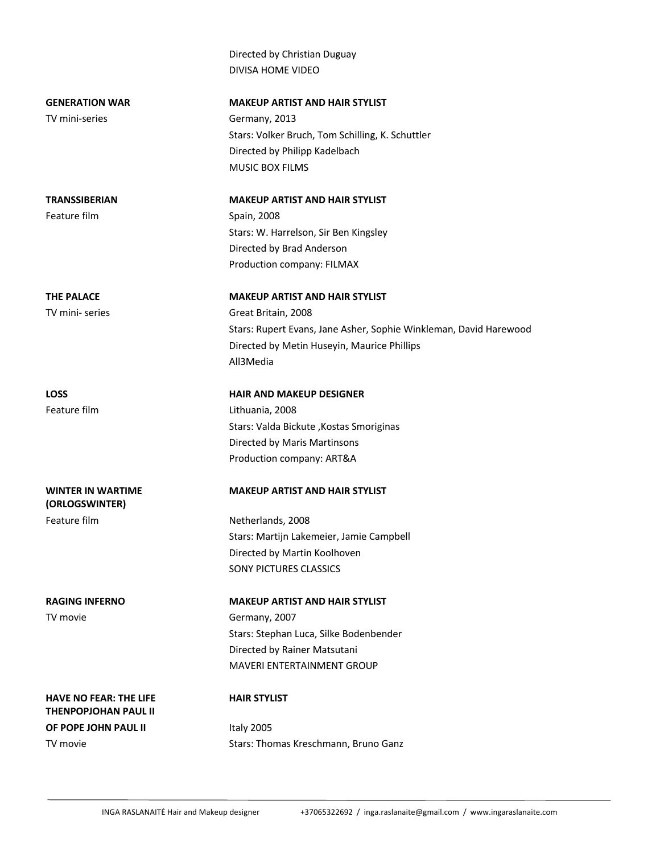Directed by Christian Duguay DIVISA HOME VIDEO GENERATION WAR **MAKEUP ARTIST AND HAIR STYLIST** TV mini-series Germany, 2013 Stars: Volker Bruch, Tom Schilling, K. Schuttler Directed by Philipp Kadelbach MUSIC BOX FILMS **TRANSSIBERIAN MAKEUP ARTIST AND HAIR STYLIST** Feature film Spain, 2008 Stars: W. Harrelson, Sir Ben Kingsley Directed by Brad Anderson Production company: FILMAX THE PALACE MAKEUP ARTIST AND HAIR STYLIST TV mini- series Great Britain, 2008 Stars: Rupert Evans, Jane Asher, Sophie Winkleman, David Harewood Directed by Metin Huseyin, Maurice Phillips All3Media **LOSS HAIR AND MAKEUP DESIGNER** Feature film Lithuania, 2008 Stars: Valda Bickute ,Kostas Smoriginas Directed by Maris Martinsons Production company: ART&A **WINTER IN WARTIME (ORLOGSWINTER) MAKEUP ARTIST AND HAIR STYLIST** Feature film Netherlands, 2008 Stars: Martijn Lakemeier, Jamie Campbell Directed by Martin Koolhoven SONY PICTURES CLASSICS **RAGING INFERNO MAKEUP ARTIST AND HAIR STYLIST** TV movie Germany, 2007 Stars: Stephan Luca, Silke Bodenbender Directed by Rainer Matsutani MAVERI ENTERTAINMENT GROUP

#### **HAIR STYLIST**

**HAVE NO FEAR: THE LIFE THENPOPJOHAN PAUL II**

**OF POPE JOHN PAUL II** Italy 2005 TV movie Stars: Thomas Kreschmann, Bruno Ganz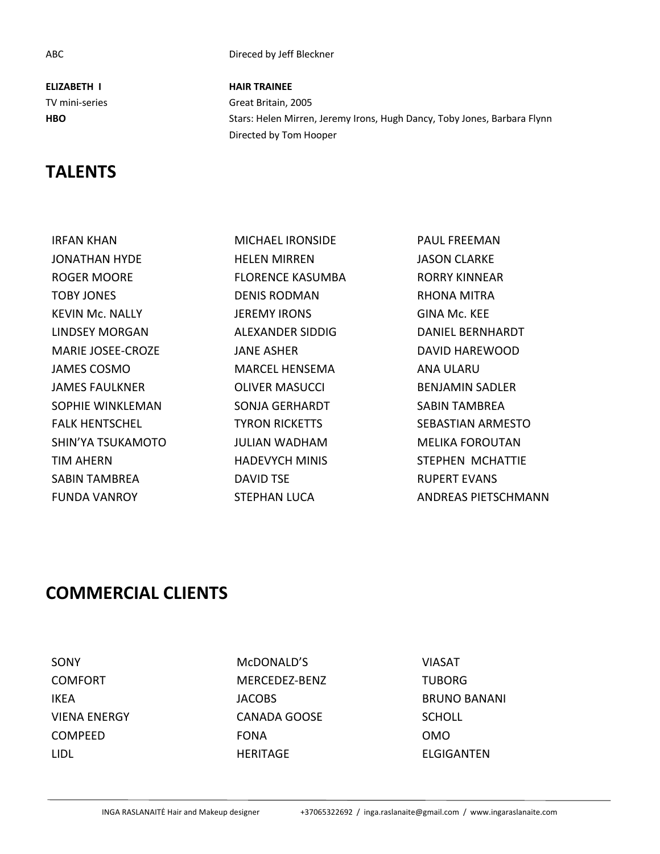**ELIZABETH I HAIR TRAINEE**

## **TALENTS**

IRFAN KHAN MICHAEL IRONSIDE PAUL FREEMAN JONATHAN HYDE HELEN MIRREN JASON CLARKE ROGER MOORE **FLORENCE KASUMBA** RORRY KINNEAR TOBY JONES DENIS RODMAN RHONA MITRA KEVIN Mc. NALLY JEREMY IRONS GINA Mc. KEE LINDSEY MORGAN ALEXANDER SIDDIG DANIEL BERNHARDT MARIE JOSEE-CROZE JANE ASHER DAVID HAREWOOD JAMES COSMO MARCEL HENSEMA ANA ULARU JAMES FAULKNER OLIVER MASUCCI BENJAMIN SADLER SOPHIE WINKLEMAN SONJA GERHARDT SABIN TAMBREA FALK HENTSCHEL TYRON RICKETTS SEBASTIAN ARMESTO SHIN'YA TSUKAMOTO JULIAN WADHAM MELIKA FOROUTAN TIM AHERN **HADEVYCH MINIS** STEPHEN MCHATTIE SABIN TAMBREA DAVID TSE RUPERT EVANS

ABC Direced by Jeff Bleckner

TV mini-series Great Britain, 2005 **HBO** Stars: Helen Mirren, Jeremy Irons, Hugh Dancy, Toby Jones, Barbara Flynn Directed by Tom Hooper

FUNDA VANROY STEPHAN LUCA ANDREAS PIETSCHMANN

## **COMMERCIAL CLIENTS**

SONY McDONALD'S VIASAT COMFORT MERCEDEZ-BENZ TUBORG IKEA JACOBS BRUNO BANANI VIENA ENERGY CANADA GOOSE SCHOLL COMPEED FONA OMO LIDL HERITAGE ELGIGANTEN